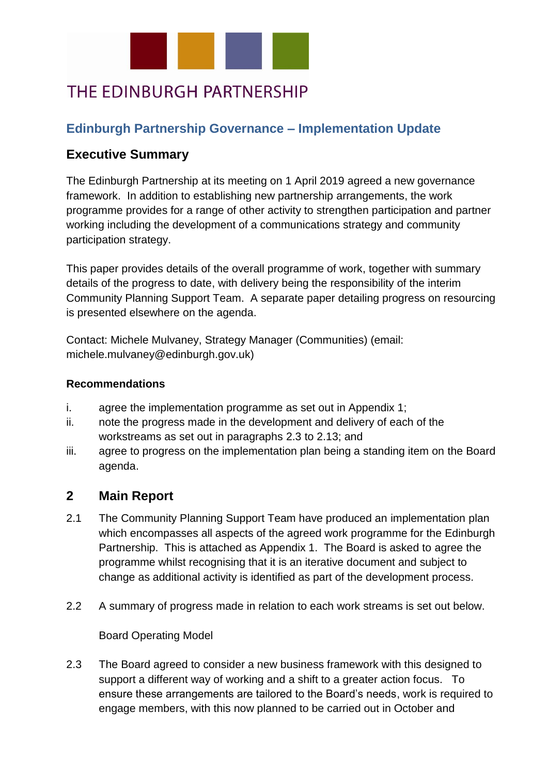

# THE EDINBURGH PARTNERSHIP

## **Edinburgh Partnership Governance – Implementation Update**

### **Executive Summary**

The Edinburgh Partnership at its meeting on 1 April 2019 agreed a new governance framework. In addition to establishing new partnership arrangements, the work programme provides for a range of other activity to strengthen participation and partner working including the development of a communications strategy and community participation strategy.

This paper provides details of the overall programme of work, together with summary details of the progress to date, with delivery being the responsibility of the interim Community Planning Support Team. A separate paper detailing progress on resourcing is presented elsewhere on the agenda.

Contact: Michele Mulvaney, Strategy Manager (Communities) (email: michele.mulvaney@edinburgh.gov.uk)

#### **Recommendations**

- i. agree the implementation programme as set out in Appendix 1;
- ii. note the progress made in the development and delivery of each of the workstreams as set out in paragraphs 2.3 to 2.13; and
- iii. agree to progress on the implementation plan being a standing item on the Board agenda.

## **2 Main Report**

- 2.1 The Community Planning Support Team have produced an implementation plan which encompasses all aspects of the agreed work programme for the Edinburgh Partnership. This is attached as Appendix 1. The Board is asked to agree the programme whilst recognising that it is an iterative document and subject to change as additional activity is identified as part of the development process.
- 2.2 A summary of progress made in relation to each work streams is set out below.

Board Operating Model

2.3 The Board agreed to consider a new business framework with this designed to support a different way of working and a shift to a greater action focus. To ensure these arrangements are tailored to the Board's needs, work is required to engage members, with this now planned to be carried out in October and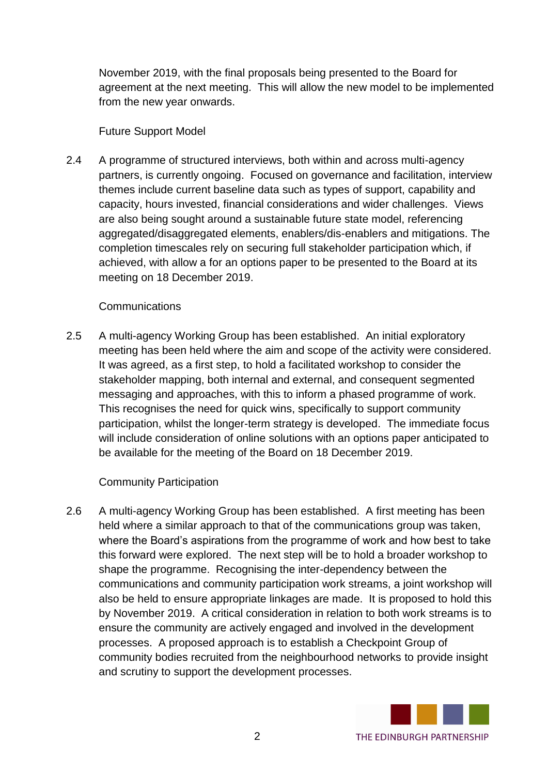November 2019, with the final proposals being presented to the Board for agreement at the next meeting. This will allow the new model to be implemented from the new year onwards.

#### Future Support Model

2.4 A programme of structured interviews, both within and across multi-agency partners, is currently ongoing. Focused on governance and facilitation, interview themes include current baseline data such as types of support, capability and capacity, hours invested, financial considerations and wider challenges. Views are also being sought around a sustainable future state model, referencing aggregated/disaggregated elements, enablers/dis-enablers and mitigations. The completion timescales rely on securing full stakeholder participation which, if achieved, with allow a for an options paper to be presented to the Board at its meeting on 18 December 2019.

### Communications

2.5 A multi-agency Working Group has been established. An initial exploratory meeting has been held where the aim and scope of the activity were considered. It was agreed, as a first step, to hold a facilitated workshop to consider the stakeholder mapping, both internal and external, and consequent segmented messaging and approaches, with this to inform a phased programme of work. This recognises the need for quick wins, specifically to support community participation, whilst the longer-term strategy is developed. The immediate focus will include consideration of online solutions with an options paper anticipated to be available for the meeting of the Board on 18 December 2019.

### Community Participation

2.6 A multi-agency Working Group has been established. A first meeting has been held where a similar approach to that of the communications group was taken, where the Board's aspirations from the programme of work and how best to take this forward were explored. The next step will be to hold a broader workshop to shape the programme. Recognising the inter-dependency between the communications and community participation work streams, a joint workshop will also be held to ensure appropriate linkages are made. It is proposed to hold this by November 2019. A critical consideration in relation to both work streams is to ensure the community are actively engaged and involved in the development processes. A proposed approach is to establish a Checkpoint Group of community bodies recruited from the neighbourhood networks to provide insight and scrutiny to support the development processes.

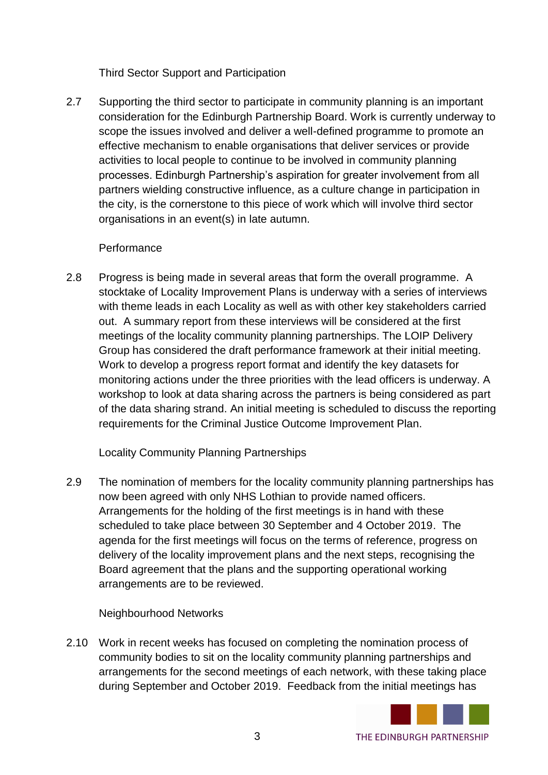Third Sector Support and Participation

2.7 Supporting the third sector to participate in community planning is an important consideration for the Edinburgh Partnership Board. Work is currently underway to scope the issues involved and deliver a well-defined programme to promote an effective mechanism to enable organisations that deliver services or provide activities to local people to continue to be involved in community planning processes. Edinburgh Partnership's aspiration for greater involvement from all partners wielding constructive influence, as a culture change in participation in the city, is the cornerstone to this piece of work which will involve third sector organisations in an event(s) in late autumn.

### Performance

2.8 Progress is being made in several areas that form the overall programme. A stocktake of Locality Improvement Plans is underway with a series of interviews with theme leads in each Locality as well as with other key stakeholders carried out. A summary report from these interviews will be considered at the first meetings of the locality community planning partnerships. The LOIP Delivery Group has considered the draft performance framework at their initial meeting. Work to develop a progress report format and identify the key datasets for monitoring actions under the three priorities with the lead officers is underway. A workshop to look at data sharing across the partners is being considered as part of the data sharing strand. An initial meeting is scheduled to discuss the reporting requirements for the Criminal Justice Outcome Improvement Plan.

Locality Community Planning Partnerships

2.9 The nomination of members for the locality community planning partnerships has now been agreed with only NHS Lothian to provide named officers. Arrangements for the holding of the first meetings is in hand with these scheduled to take place between 30 September and 4 October 2019. The agenda for the first meetings will focus on the terms of reference, progress on delivery of the locality improvement plans and the next steps, recognising the Board agreement that the plans and the supporting operational working arrangements are to be reviewed.

### Neighbourhood Networks

2.10 Work in recent weeks has focused on completing the nomination process of community bodies to sit on the locality community planning partnerships and arrangements for the second meetings of each network, with these taking place during September and October 2019. Feedback from the initial meetings has

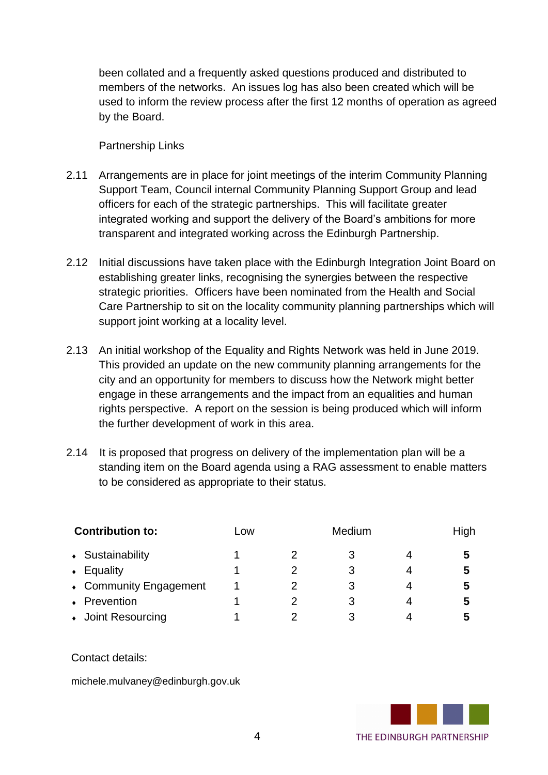been collated and a frequently asked questions produced and distributed to members of the networks. An issues log has also been created which will be used to inform the review process after the first 12 months of operation as agreed by the Board.

Partnership Links

- 2.11 Arrangements are in place for joint meetings of the interim Community Planning Support Team, Council internal Community Planning Support Group and lead officers for each of the strategic partnerships. This will facilitate greater integrated working and support the delivery of the Board's ambitions for more transparent and integrated working across the Edinburgh Partnership.
- 2.12 Initial discussions have taken place with the Edinburgh Integration Joint Board on establishing greater links, recognising the synergies between the respective strategic priorities. Officers have been nominated from the Health and Social Care Partnership to sit on the locality community planning partnerships which will support joint working at a locality level.
- 2.13 An initial workshop of the Equality and Rights Network was held in June 2019. This provided an update on the new community planning arrangements for the city and an opportunity for members to discuss how the Network might better engage in these arrangements and the impact from an equalities and human rights perspective. A report on the session is being produced which will inform the further development of work in this area.
- 2.14 It is proposed that progress on delivery of the implementation plan will be a standing item on the Board agenda using a RAG assessment to enable matters to be considered as appropriate to their status.

| <b>Contribution to:</b> | Low |  | High |   |
|-------------------------|-----|--|------|---|
| • Sustainability        |     |  | 3    | 5 |
| Equality<br>$\bullet$   |     |  | 3    | 5 |
| • Community Engagement  |     |  | З    | 5 |
| • Prevention            |     |  | З    | 5 |
| • Joint Resourcing      |     |  |      |   |

Contact details:

michele.mulvaney@edinburgh.gov.uk

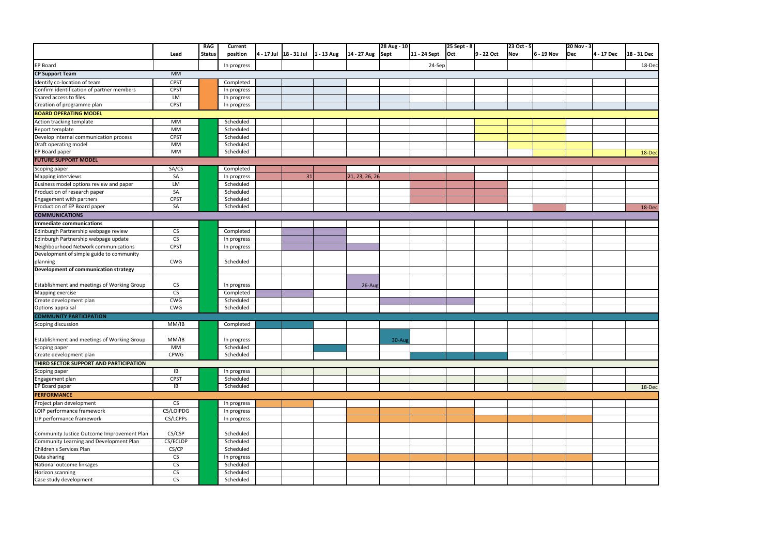| 20 Nov - 3<br>Dec | 4 - 17 Dec | 18 - 31 Dec |
|-------------------|------------|-------------|
|                   |            | 18-Dec      |
|                   |            |             |
|                   |            |             |
|                   |            |             |
|                   |            |             |
|                   |            |             |
|                   |            |             |
|                   |            |             |
|                   |            |             |
|                   |            | $18$ -Dec   |
|                   |            |             |
|                   |            |             |
|                   |            |             |
|                   |            |             |
|                   |            | 18-Dec      |
|                   |            |             |
|                   |            |             |
|                   |            |             |
|                   |            |             |
|                   |            |             |
|                   |            |             |
|                   |            |             |
|                   |            |             |
|                   |            |             |
|                   |            |             |
|                   |            |             |
|                   |            |             |
|                   |            |             |
|                   |            |             |
|                   |            |             |
|                   |            |             |
|                   |            |             |
|                   |            | 18-Dec      |
|                   |            |             |
|                   |            |             |
|                   |            |             |
|                   |            |             |
|                   |            |             |
|                   |            |             |
|                   |            |             |
|                   |            |             |
|                   |            |             |
|                   |            |             |

|                                                               |                          |                             |                          |                        |                        |                     |              | 25 Sept - 8 |            |                   |            | 20 Nov - 3 |            |             |
|---------------------------------------------------------------|--------------------------|-----------------------------|--------------------------|------------------------|------------------------|---------------------|--------------|-------------|------------|-------------------|------------|------------|------------|-------------|
|                                                               | Lead                     | <b>RAG</b><br><b>Status</b> | Current<br>position      | 4 - 17 Jul 18 - 31 Jul | 1 - 13 Aug 14 - 27 Aug | 28 Aug - 10<br>Sept | 11 - 24 Sept | <b>Oct</b>  | 9 - 22 Oct | 23 Oct - 5<br>Nov | 6 - 19 Nov | Dec        | 4 - 17 Dec | 18 - 31 Dec |
| <b>EP Board</b>                                               |                          |                             | In progress              |                        |                        |                     | 24-Sep       |             |            |                   |            |            |            | 18-Dec      |
| <b>CP Support Team</b>                                        | MM                       |                             |                          |                        |                        |                     |              |             |            |                   |            |            |            |             |
| Identify co-location of team                                  | <b>CPST</b>              |                             | Completed                |                        |                        |                     |              |             |            |                   |            |            |            |             |
| Confirm identification of partner members                     | <b>CPST</b>              |                             | In progress              |                        |                        |                     |              |             |            |                   |            |            |            |             |
| Shared access to files                                        | LM                       |                             | In progress              |                        |                        |                     |              |             |            |                   |            |            |            |             |
| Creation of programme plan                                    | <b>CPST</b>              |                             | In progress              |                        |                        |                     |              |             |            |                   |            |            |            |             |
| <b>BOARD OPERATING MODEL</b>                                  |                          |                             |                          |                        |                        |                     |              |             |            |                   |            |            |            |             |
| Action tracking template                                      | МM                       |                             | Scheduled                |                        |                        |                     |              |             |            |                   |            |            |            |             |
| Report template                                               | MМ                       |                             | Scheduled                |                        |                        |                     |              |             |            |                   |            |            |            |             |
| Develop internal communication process                        | <b>CPST</b>              |                             | Scheduled                |                        |                        |                     |              |             |            |                   |            |            |            |             |
| Draft operating model                                         | MМ                       |                             | Scheduled                |                        |                        |                     |              |             |            |                   |            |            |            |             |
| EP Board paper                                                | <b>MM</b>                |                             | Scheduled                |                        |                        |                     |              |             |            |                   |            |            |            | 18-Dec      |
| <b>FUTURE SUPPORT MODEL</b>                                   |                          |                             |                          |                        |                        |                     |              |             |            |                   |            |            |            |             |
|                                                               |                          |                             |                          |                        |                        |                     |              |             |            |                   |            |            |            |             |
| Scoping paper                                                 | SA/CS<br>SA              |                             | Completed                |                        |                        |                     |              |             |            |                   |            |            |            |             |
| Mapping interviews<br>Business model options review and paper | <b>LM</b>                |                             | In progress<br>Scheduled | 31                     | 21, 23, 26, 26         |                     |              |             |            |                   |            |            |            |             |
| Production of research paper                                  | SA                       |                             | Scheduled                |                        |                        |                     |              |             |            |                   |            |            |            |             |
| Engagement with partners                                      | <b>CPST</b>              |                             | Scheduled                |                        |                        |                     |              |             |            |                   |            |            |            |             |
| Production of EP Board paper                                  | SA                       |                             | Scheduled                |                        |                        |                     |              |             |            |                   |            |            |            |             |
| <b>COMMUNICATIONS</b>                                         |                          |                             |                          |                        |                        |                     |              |             |            |                   |            |            |            | 18-Dec      |
| Immediate communications                                      |                          |                             |                          |                        |                        |                     |              |             |            |                   |            |            |            |             |
| Edinburgh Partnership webpage review                          | $\overline{\text{cs}}$   |                             |                          |                        |                        |                     |              |             |            |                   |            |            |            |             |
| Edinburgh Partnership webpage update                          | $\overline{\text{CS}}$   |                             | Completed                |                        |                        |                     |              |             |            |                   |            |            |            |             |
| Neighbourhood Network communications                          | <b>CPST</b>              |                             | In progress              |                        |                        |                     |              |             |            |                   |            |            |            |             |
| Development of simple guide to community                      |                          |                             | In progress              |                        |                        |                     |              |             |            |                   |            |            |            |             |
|                                                               | <b>CWG</b>               |                             | Scheduled                |                        |                        |                     |              |             |            |                   |            |            |            |             |
| planning<br><b>Development of communication strategy</b>      |                          |                             |                          |                        |                        |                     |              |             |            |                   |            |            |            |             |
|                                                               |                          |                             |                          |                        |                        |                     |              |             |            |                   |            |            |            |             |
| Establishment and meetings of Working Group                   | ${\sf CS}$               |                             | In progress              |                        | 26-Aug                 |                     |              |             |            |                   |            |            |            |             |
| Mapping exercise                                              | $\mathsf{CS}\phantom{0}$ |                             | Completed                |                        |                        |                     |              |             |            |                   |            |            |            |             |
| Create development plan                                       | CWG                      |                             | Scheduled                |                        |                        |                     |              |             |            |                   |            |            |            |             |
| Options appraisal                                             | CWG                      |                             | Scheduled                |                        |                        |                     |              |             |            |                   |            |            |            |             |
| <b>COMMUNITY PARTICIPATION</b>                                |                          |                             |                          |                        |                        |                     |              |             |            |                   |            |            |            |             |
| Scoping discussion                                            | MM/IB                    |                             | Completed                |                        |                        |                     |              |             |            |                   |            |            |            |             |
|                                                               |                          |                             |                          |                        |                        |                     |              |             |            |                   |            |            |            |             |
| Establishment and meetings of Working Group                   | MM/IB                    |                             | In progress              |                        |                        | $30-Au$ g           |              |             |            |                   |            |            |            |             |
|                                                               | <b>MM</b>                |                             | Scheduled                |                        |                        |                     |              |             |            |                   |            |            |            |             |
| Scoping paper<br>Create development plan                      | <b>CPWG</b>              |                             | Scheduled                |                        |                        |                     |              |             |            |                   |            |            |            |             |
| THIRD SECTOR SUPPORT AND PARTICIPATION                        |                          |                             |                          |                        |                        |                     |              |             |            |                   |            |            |            |             |
| Scoping paper<br>Engagement plan<br>EP Board paper            | IB                       |                             | In progress              |                        |                        |                     |              |             |            |                   |            |            |            |             |
|                                                               | <b>CPST</b>              |                             | Scheduled                |                        |                        |                     |              |             |            |                   |            |            |            |             |
|                                                               | IB                       |                             | Scheduled                |                        |                        |                     |              |             |            |                   |            |            |            | 18-Dec      |
| <b>PERFORMANCE</b>                                            |                          |                             |                          |                        |                        |                     |              |             |            |                   |            |            |            |             |
| Project plan development                                      | CS                       |                             | In progress              |                        |                        |                     |              |             |            |                   |            |            |            |             |
| LOIP performance framework                                    | CS/LOIPDG                |                             | In progress              |                        |                        |                     |              |             |            |                   |            |            |            |             |
| LIP performance framework                                     | CS/LCPPs                 |                             | In progress              |                        |                        |                     |              |             |            |                   |            |            |            |             |
|                                                               |                          |                             |                          |                        |                        |                     |              |             |            |                   |            |            |            |             |
| Community Justice Outcome Improvement Plan                    | CS/CSP                   |                             | Scheduled                |                        |                        |                     |              |             |            |                   |            |            |            |             |
| Community Learning and Development Plan                       | CS/ECLDP                 |                             | Scheduled                |                        |                        |                     |              |             |            |                   |            |            |            |             |
| Children's Services Plan                                      | CS/CP                    |                             | Scheduled                |                        |                        |                     |              |             |            |                   |            |            |            |             |
| Data sharing                                                  | ${\sf CS}$               |                             | In progress              |                        |                        |                     |              |             |            |                   |            |            |            |             |
| National outcome linkages                                     | ${\sf CS}$               |                             | Scheduled                |                        |                        |                     |              |             |            |                   |            |            |            |             |
| Horizon scanning                                              | $\overline{\mathsf{CS}}$ |                             | Scheduled                |                        |                        |                     |              |             |            |                   |            |            |            |             |
| Case study development                                        | CS                       |                             | Scheduled                |                        |                        |                     |              |             |            |                   |            |            |            |             |